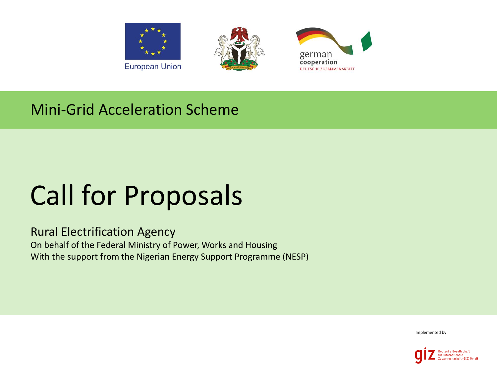





### Mini-Grid Acceleration Scheme

# Call for Proposals

#### Rural Electrification Agency On behalf of the Federal Ministry of Power, Works and Housing With the support from the Nigerian Energy Support Programme (NESP)

Implemented by

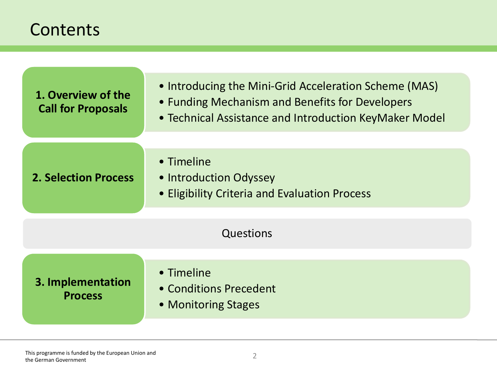### **Contents**

| 1. Overview of the<br><b>Call for Proposals</b>                                                                      | • Introducing the Mini-Grid Acceleration Scheme (MAS)<br>• Funding Mechanism and Benefits for Developers<br>• Technical Assistance and Introduction KeyMaker Model |  |
|----------------------------------------------------------------------------------------------------------------------|--------------------------------------------------------------------------------------------------------------------------------------------------------------------|--|
| • Timeline<br><b>2. Selection Process</b><br>• Introduction Odyssey<br>• Eligibility Criteria and Evaluation Process |                                                                                                                                                                    |  |
| Questions                                                                                                            |                                                                                                                                                                    |  |
| 3. Implementation<br><b>Process</b>                                                                                  | • Timeline<br>• Conditions Precedent<br>• Monitoring Stages                                                                                                        |  |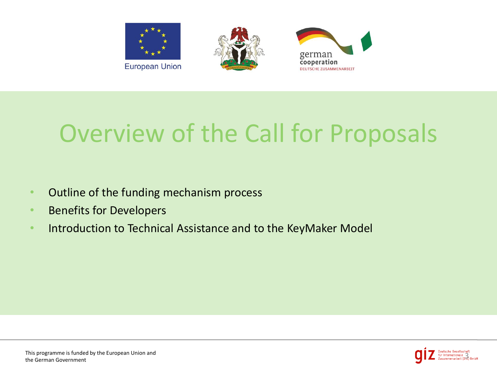

# Overview of the Call for Proposals

- Outline of the funding mechanism process
- Benefits for Developers
- Introduction to Technical Assistance and to the KeyMaker Model

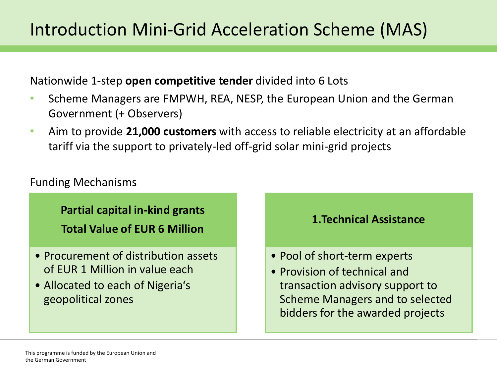Nationwide 1-step **open competitive tender** divided into 6 Lots

- Scheme Managers are FMPWH, REA, NESP, the European Union and the German Government (+ Observers)
- Aim to provide **21,000 customers** with access to reliable electricity at an affordable tariff via the support to privately-led off-grid solar mini-grid projects

### Funding Mechanisms

**Partial capital in-kind grants Total Value of EUR 6 Million**

- Procurement of distribution assets of EUR 1 Million in value each
- Allocated to each of Nigeria's geopolitical zones



- Pool of short-term experts
- Provision of technical and transaction advisory support to Scheme Managers and to selected bidders for the awarded projects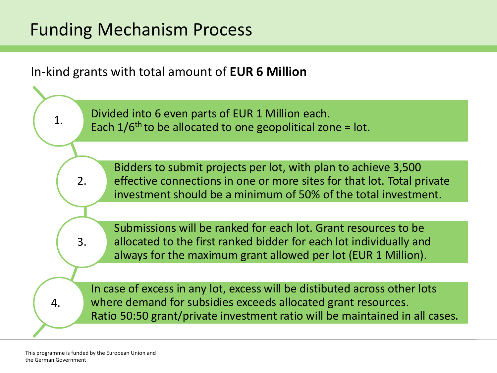### Funding Mechanism Process

In-kind grants with total amount of **EUR 6 Million**

Divided into 6 even parts of EUR 1 Million each. Each  $1/6$ <sup>th</sup> to be allocated to one geopolitical zone = lot.

Bidders to submit projects per lot, with plan to achieve 3,500 effective connections in one or more sites for that lot. Total private investment should be a minimum of 50% of the total investment.

Submissions will be ranked for each lot. Grant resources to be allocated to the first ranked bidder for each lot individually and always for the maximum grant allowed per lot (EUR 1 Million).

In case of excess in any lot, excess will be distibuted across other lots where demand for subsidies exceeds allocated grant resources. Ratio 50:50 grant/private investment ratio will be maintained in all cases.

1.

2.

3.

4.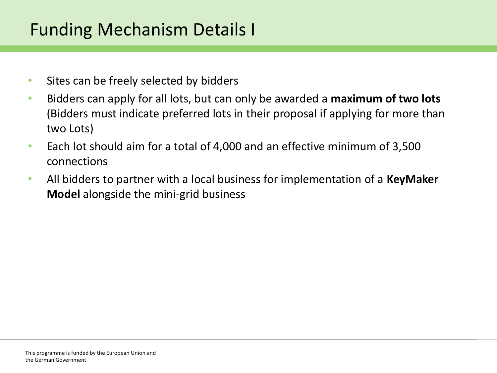### Funding Mechanism Details I

- Sites can be freely selected by bidders
- Bidders can apply for all lots, but can only be awarded a **maximum of two lots**  (Bidders must indicate preferred lots in their proposal if applying for more than two Lots)
- Each lot should aim for a total of 4,000 and an effective minimum of 3,500 connections
- All bidders to partner with a local business for implementation of a **KeyMaker Model** alongside the mini-grid business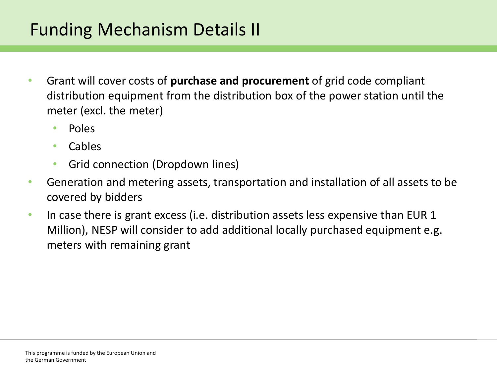### Funding Mechanism Details II

- Grant will cover costs of **purchase and procurement** of grid code compliant distribution equipment from the distribution box of the power station until the meter (excl. the meter)
	- Poles
	- Cables
	- Grid connection (Dropdown lines)
- Generation and metering assets, transportation and installation of all assets to be covered by bidders
- In case there is grant excess (i.e. distribution assets less expensive than EUR 1 Million), NESP will consider to add additional locally purchased equipment e.g. meters with remaining grant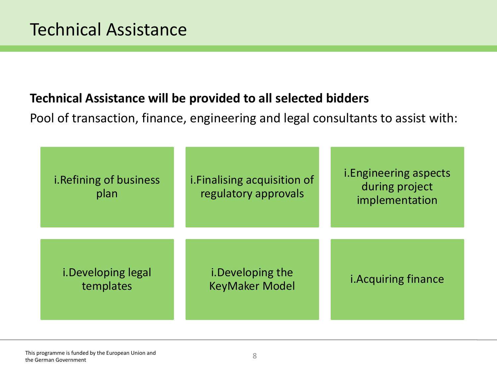### **Technical Assistance will be provided to all selected bidders**

Pool of transaction, finance, engineering and legal consultants to assist with:

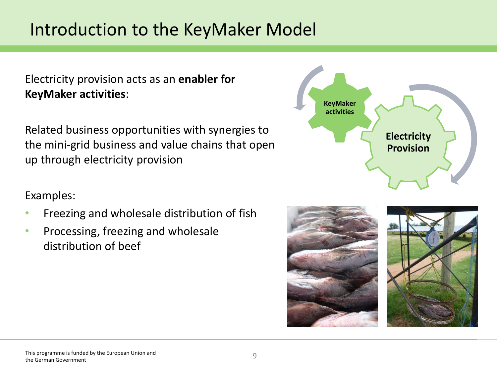### Introduction to the KeyMaker Model

Electricity provision acts as an **enabler for KeyMaker activities**:

Related business opportunities with synergies to the mini-grid business and value chains that open up through electricity provision

### Examples:

- Freezing and wholesale distribution of fish
- Processing, freezing and wholesale distribution of beef



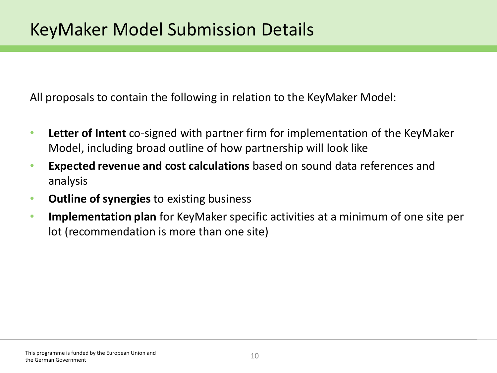All proposals to contain the following in relation to the KeyMaker Model:

- **Letter of Intent** co-signed with partner firm for implementation of the KeyMaker Model, including broad outline of how partnership will look like
- **Expected revenue and cost calculations** based on sound data references and analysis
- **Outline of synergies** to existing business
- **Implementation plan** for KeyMaker specific activities at a minimum of one site per lot (recommendation is more than one site)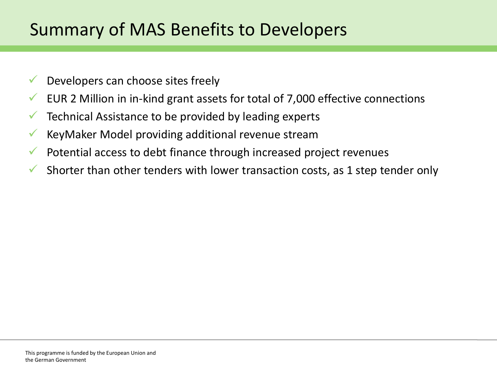### Summary of MAS Benefits to Developers

- $\sqrt{\phantom{a}}$  Developers can choose sites freely
- EUR 2 Million in in-kind grant assets for total of 7,000 effective connections
- $\checkmark$  Technical Assistance to be provided by leading experts
- KeyMaker Model providing additional revenue stream
- $\checkmark$  Potential access to debt finance through increased project revenues
- Shorter than other tenders with lower transaction costs, as 1 step tender only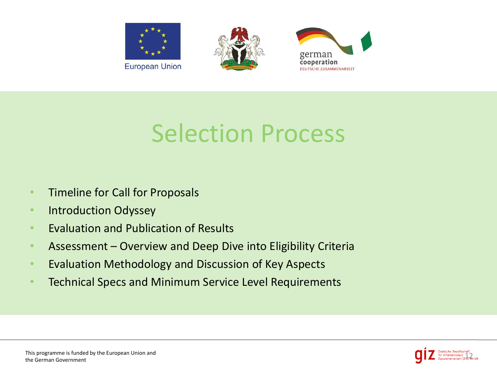

# Selection Process

- Timeline for Call for Proposals
- Introduction Odyssey
- Evaluation and Publication of Results
- Assessment Overview and Deep Dive into Eligibility Criteria
- Evaluation Methodology and Discussion of Key Aspects
- Technical Specs and Minimum Service Level Requirements

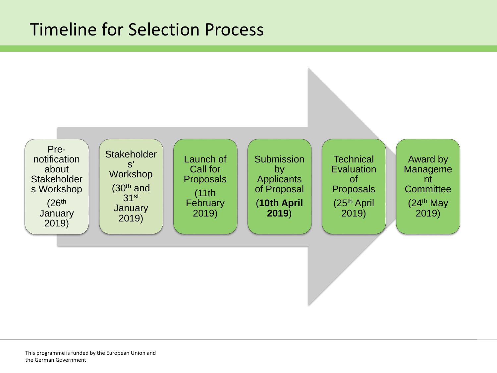### Timeline for Selection Process

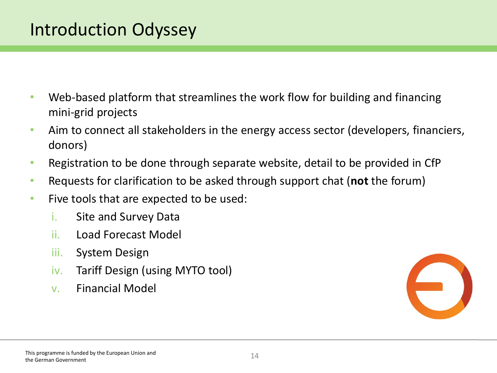### Introduction Odyssey

- Web-based platform that streamlines the work flow for building and financing mini-grid projects
- Aim to connect all stakeholders in the energy access sector (developers, financiers, donors)
- Registration to be done through separate website, detail to be provided in CfP
- Requests for clarification to be asked through support chat (**not** the forum)
- Five tools that are expected to be used:
	- i. Site and Survey Data
	- ii. Load Forecast Model
	- iii. System Design
	- iv. Tariff Design (using MYTO tool)
	- v. Financial Model



#### This programme is funded by the European Union and the German Government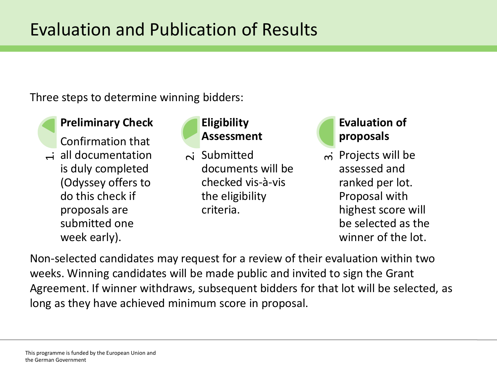### Evaluation and Publication of Results

Three steps to determine winning bidders:

#### **Preliminary Check**

Confirmation that  $\overrightarrow{a}$  all documentation is duly completed (Odyssey offers to do this check if proposals are submitted one week early).

#### **Eligibility Assessment**

 $\overline{\mathsf{\sim}}$  Submitted documents will be checked vis-à-vis the eligibility criteria.

### **Evaluation of proposals**

 $\overline{\mathsf{m}}$  Projects will be assessed and ranked per lot. Proposal with highest score will

be selected as the winner of the lot.

Non-selected candidates may request for a review of their evaluation within two weeks. Winning candidates will be made public and invited to sign the Grant Agreement. If winner withdraws, subsequent bidders for that lot will be selected, as A all documentation<br>
is duly completed<br>
(Odyssey offers to<br>
do this check if<br>
proposals are<br>
submitted one<br>
week early).<br>
Non-selected candidates may request for a review of th<br>
weeks. Winning candidates may request for a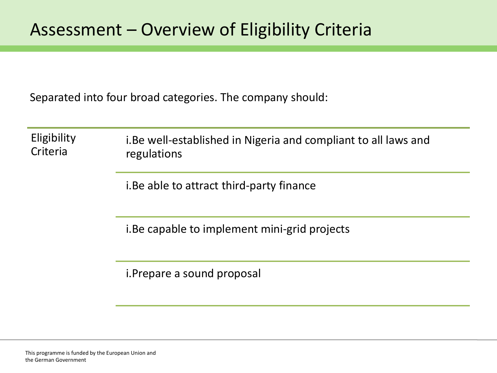Separated into four broad categories. The company should:

| Eligibility<br>Criteria | i. Be well-established in Nigeria and compliant to all laws and<br>regulations |
|-------------------------|--------------------------------------------------------------------------------|
|                         | i. Be able to attract third-party finance                                      |
|                         | i. Be capable to implement mini-grid projects                                  |
|                         | <i>i. Prepare a sound proposal</i>                                             |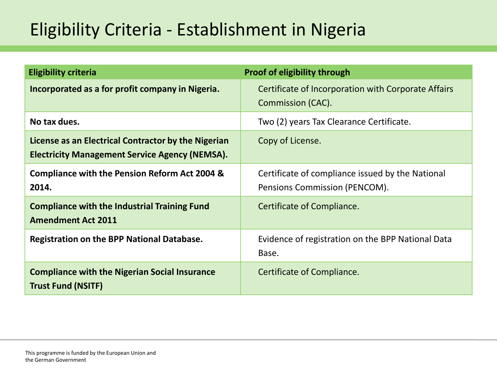## Eligibility Criteria - Establishment in Nigeria

| <b>Eligibility criteria</b>                                                                                  | <b>Proof of eligibility through</b>                                               |
|--------------------------------------------------------------------------------------------------------------|-----------------------------------------------------------------------------------|
| Incorporated as a for profit company in Nigeria.                                                             | Certificate of Incorporation with Corporate Affairs<br>Commission (CAC).          |
| No tax dues.                                                                                                 | Two (2) years Tax Clearance Certificate.                                          |
| License as an Electrical Contractor by the Nigerian<br><b>Electricity Management Service Agency (NEMSA).</b> | Copy of License.                                                                  |
| <b>Compliance with the Pension Reform Act 2004 &amp;</b><br>2014.                                            | Certificate of compliance issued by the National<br>Pensions Commission (PENCOM). |
| <b>Compliance with the Industrial Training Fund</b><br><b>Amendment Act 2011</b>                             | Certificate of Compliance.                                                        |
| <b>Registration on the BPP National Database.</b>                                                            | Evidence of registration on the BPP National Data<br>Base.                        |
| <b>Compliance with the Nigerian Social Insurance</b><br><b>Trust Fund (NSITF)</b>                            | Certificate of Compliance.                                                        |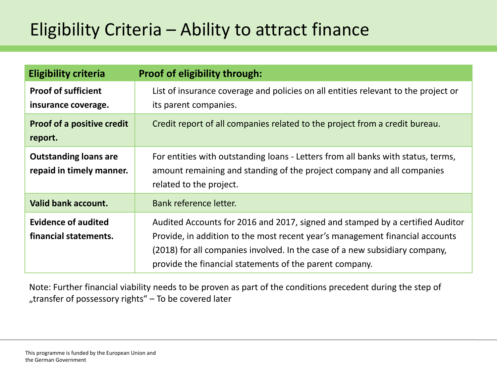## Eligibility Criteria – Ability to attract finance

| <b>Eligibility criteria</b>                              | Proof of eligibility through:                                                                                                                                                                                                                                                                           |
|----------------------------------------------------------|---------------------------------------------------------------------------------------------------------------------------------------------------------------------------------------------------------------------------------------------------------------------------------------------------------|
| <b>Proof of sufficient</b><br>insurance coverage.        | List of insurance coverage and policies on all entities relevant to the project or<br>its parent companies.                                                                                                                                                                                             |
| <b>Proof of a positive credit</b><br>report.             | Credit report of all companies related to the project from a credit bureau.                                                                                                                                                                                                                             |
| <b>Outstanding loans are</b><br>repaid in timely manner. | For entities with outstanding loans - Letters from all banks with status, terms,<br>amount remaining and standing of the project company and all companies<br>related to the project.                                                                                                                   |
| Valid bank account.                                      | Bank reference letter.                                                                                                                                                                                                                                                                                  |
| <b>Evidence of audited</b><br>financial statements.      | Audited Accounts for 2016 and 2017, signed and stamped by a certified Auditor<br>Provide, in addition to the most recent year's management financial accounts<br>(2018) for all companies involved. In the case of a new subsidiary company,<br>provide the financial statements of the parent company. |

Note: Further financial viability needs to be proven as part of the conditions precedent during the step of "transfer of possessory rights" - To be covered later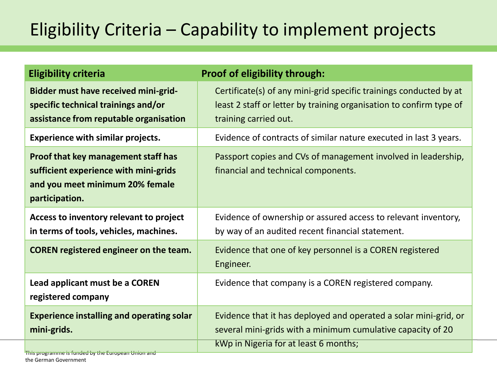## Eligibility Criteria – Capability to implement projects

| <b>Eligibility criteria</b>                                                                                                              | <b>Proof of eligibility through:</b>                                                                                                                                     |
|------------------------------------------------------------------------------------------------------------------------------------------|--------------------------------------------------------------------------------------------------------------------------------------------------------------------------|
| <b>Bidder must have received mini-grid-</b><br>specific technical trainings and/or<br>assistance from reputable organisation             | Certificate(s) of any mini-grid specific trainings conducted by at<br>least 2 staff or letter by training organisation to confirm type of<br>training carried out.       |
| <b>Experience with similar projects.</b>                                                                                                 | Evidence of contracts of similar nature executed in last 3 years.                                                                                                        |
| <b>Proof that key management staff has</b><br>sufficient experience with mini-grids<br>and you meet minimum 20% female<br>participation. | Passport copies and CVs of management involved in leadership,<br>financial and technical components.                                                                     |
| Access to inventory relevant to project<br>in terms of tools, vehicles, machines.                                                        | Evidence of ownership or assured access to relevant inventory,<br>by way of an audited recent financial statement.                                                       |
| <b>COREN</b> registered engineer on the team.                                                                                            | Evidence that one of key personnel is a COREN registered<br>Engineer.                                                                                                    |
| Lead applicant must be a COREN<br>registered company                                                                                     | Evidence that company is a COREN registered company.                                                                                                                     |
| <b>Experience installing and operating solar</b><br>mini-grids.                                                                          | Evidence that it has deployed and operated a solar mini-grid, or<br>several mini-grids with a minimum cumulative capacity of 20<br>kWp in Nigeria for at least 6 months; |
| This programme is funded by the European Union and                                                                                       |                                                                                                                                                                          |

the German Government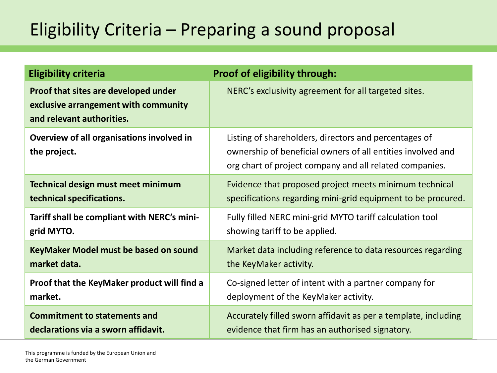## Eligibility Criteria – Preparing a sound proposal

| <b>Eligibility criteria</b>                                                                               | <b>Proof of eligibility through:</b>                                                                                                                                            |
|-----------------------------------------------------------------------------------------------------------|---------------------------------------------------------------------------------------------------------------------------------------------------------------------------------|
| Proof that sites are developed under<br>exclusive arrangement with community<br>and relevant authorities. | NERC's exclusivity agreement for all targeted sites.                                                                                                                            |
| Overview of all organisations involved in<br>the project.                                                 | Listing of shareholders, directors and percentages of<br>ownership of beneficial owners of all entities involved and<br>org chart of project company and all related companies. |
| <b>Technical design must meet minimum</b>                                                                 | Evidence that proposed project meets minimum technical                                                                                                                          |
| technical specifications.                                                                                 | specifications regarding mini-grid equipment to be procured.                                                                                                                    |
| Tariff shall be compliant with NERC's mini-                                                               | Fully filled NERC mini-grid MYTO tariff calculation tool                                                                                                                        |
| grid MYTO.                                                                                                | showing tariff to be applied.                                                                                                                                                   |
| KeyMaker Model must be based on sound                                                                     | Market data including reference to data resources regarding                                                                                                                     |
| market data.                                                                                              | the KeyMaker activity.                                                                                                                                                          |
| Proof that the KeyMaker product will find a                                                               | Co-signed letter of intent with a partner company for                                                                                                                           |
| market.                                                                                                   | deployment of the KeyMaker activity.                                                                                                                                            |
| <b>Commitment to statements and</b>                                                                       | Accurately filled sworn affidavit as per a template, including                                                                                                                  |
| declarations via a sworn affidavit.                                                                       | evidence that firm has an authorised signatory.                                                                                                                                 |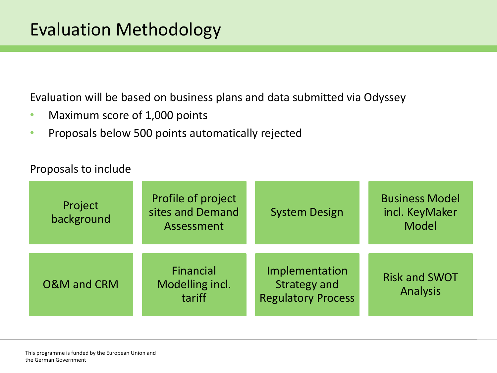Evaluation will be based on business plans and data submitted via Odyssey

- Maximum score of 1,000 points
- Proposals below 500 points automatically rejected

#### Proposals to include

| Project<br>background  | Profile of project<br>sites and Demand<br>Assessment | <b>System Design</b>                                               | <b>Business Model</b><br>incl. KeyMaker<br><b>Model</b> |
|------------------------|------------------------------------------------------|--------------------------------------------------------------------|---------------------------------------------------------|
| <b>O&amp;M</b> and CRM | Financial<br>Modelling incl.<br>tariff               | Implementation<br><b>Strategy and</b><br><b>Regulatory Process</b> | <b>Risk and SWOT</b><br>Analysis                        |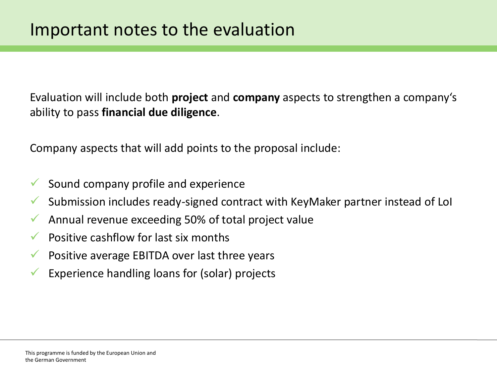Evaluation will include both **project** and **company** aspects to strengthen a company's ability to pass **financial due diligence**.

Company aspects that will add points to the proposal include:

- $\checkmark$  Sound company profile and experience
- $\checkmark$  Submission includes ready-signed contract with KeyMaker partner instead of LoI
- $\sqrt{\phantom{a}}$  Annual revenue exceeding 50% of total project value
- $\sqrt{\phantom{a}}$  Positive cashflow for last six months
- Positive average EBITDA over last three years
- Experience handling loans for (solar) projects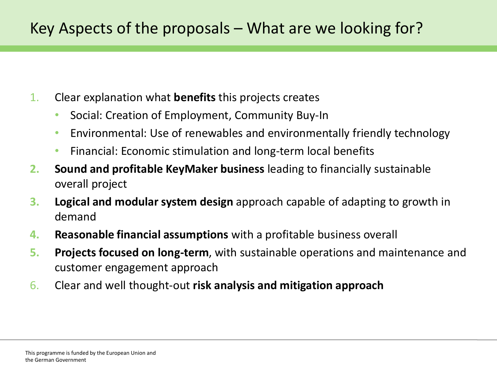- 1. Clear explanation what **benefits** this projects creates
	- Social: Creation of Employment, Community Buy-In
	- Environmental: Use of renewables and environmentally friendly technology
	- Financial: Economic stimulation and long-term local benefits
- **2. Sound and profitable KeyMaker business** leading to financially sustainable overall project
- **3. Logical and modular system design** approach capable of adapting to growth in demand
- **4. Reasonable financial assumptions** with a profitable business overall
- **5. Projects focused on long-term**, with sustainable operations and maintenance and customer engagement approach
- 6. Clear and well thought-out **risk analysis and mitigation approach**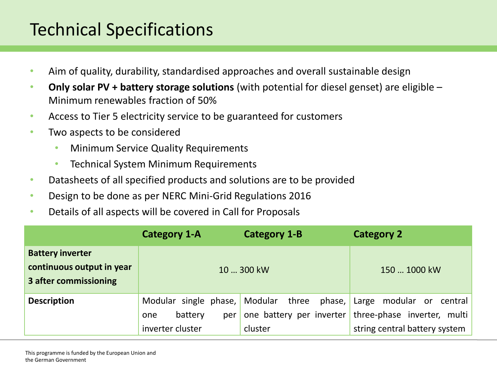### Technical Specifications

- Aim of quality, durability, standardised approaches and overall sustainable design
- **Only solar PV + battery storage solutions** (with potential for diesel genset) are eligible Minimum renewables fraction of 50%
- Access to Tier 5 electricity service to be guaranteed for customers
- Two aspects to be considered
	- Minimum Service Quality Requirements
	- Technical System Minimum Requirements
- Datasheets of all specified products and solutions are to be provided
- Design to be done as per NERC Mini-Grid Regulations 2016
- Details of all aspects will be covered in Call for Proposals

|                                                                               | <b>Category 1-A</b>                                                | <b>Category 1-B</b>                                            | <b>Category 2</b>                                                                        |
|-------------------------------------------------------------------------------|--------------------------------------------------------------------|----------------------------------------------------------------|------------------------------------------------------------------------------------------|
| <b>Battery inverter</b><br>continuous output in year<br>3 after commissioning |                                                                    | 10  300 kW                                                     | 150  1000 kW                                                                             |
| <b>Description</b>                                                            | Modular single phase,<br>battery<br>per<br>one<br>inverter cluster | Modular three<br>phase,<br>one battery per inverter<br>cluster | Large modular or central<br>three-phase inverter, multi<br>string central battery system |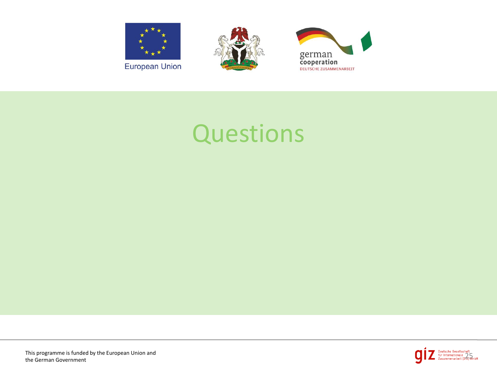





# **Questions**

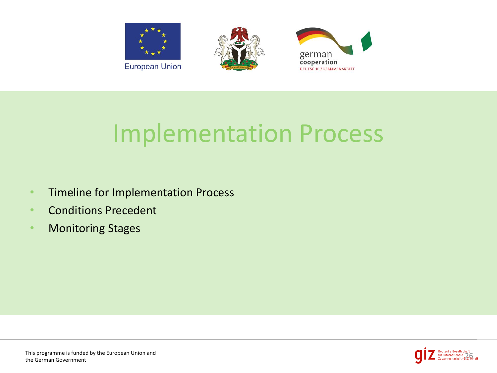

# Implementation Process

- Timeline for Implementation Process
- Conditions Precedent
- Monitoring Stages

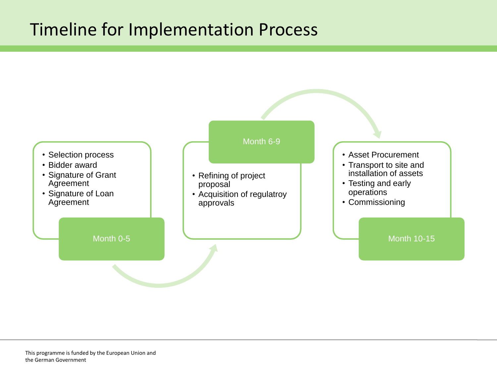### Timeline for Implementation Process

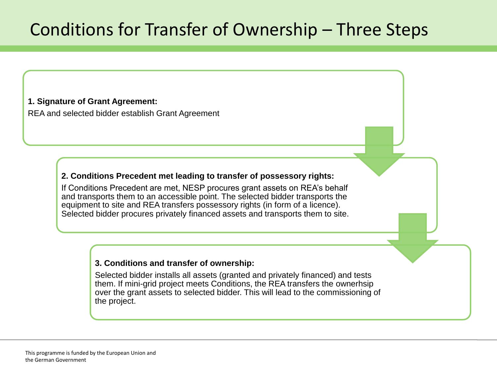### Conditions for Transfer of Ownership – Three Steps

#### **1. Signature of Grant Agreement:**

REA and selected bidder establish Grant Agreement

#### **2. Conditions Precedent met leading to transfer of possessory rights:**

If Conditions Precedent are met, NESP procures grant assets on REA's behalf and transports them to an accessible point. The selected bidder transports the equipment to site and REA transfers possessory rights (in form of a licence). Selected bidder procures privately financed assets and transports them to site.

#### **3. Conditions and transfer of ownership:**

Selected bidder installs all assets (granted and privately financed) and tests them. If mini-grid project meets Conditions, the REA transfers the ownerhsip over the grant assets to selected bidder. This will lead to the commissioning of the project.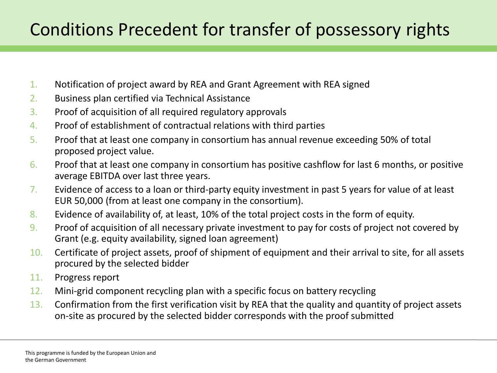## Conditions Precedent for transfer of possessory rights

- 1. Notification of project award by REA and Grant Agreement with REA signed
- 2. Business plan certified via Technical Assistance
- 3. Proof of acquisition of all required regulatory approvals
- 4. Proof of establishment of contractual relations with third parties
- 5. Proof that at least one company in consortium has annual revenue exceeding 50% of total proposed project value.
- $6.$  Proof that at least one company in consortium has positive cashflow for last 6 months, or positive average EBITDA over last three years.
- 7. Evidence of access to a loan or third-party equity investment in past 5 years for value of at least EUR 50,000 (from at least one company in the consortium).
- 8. Evidence of availability of, at least, 10% of the total project costs in the form of equity.
- 9. Proof of acquisition of all necessary private investment to pay for costs of project not covered by Grant (e.g. equity availability, signed loan agreement)
- 10. Certificate of project assets, proof of shipment of equipment and their arrival to site, for all assets procured by the selected bidder
- 11. Progress report
- 12. Mini-grid component recycling plan with a specific focus on battery recycling
- 13. Confirmation from the first verification visit by REA that the quality and quantity of project assets on-site as procured by the selected bidder corresponds with the proof submitted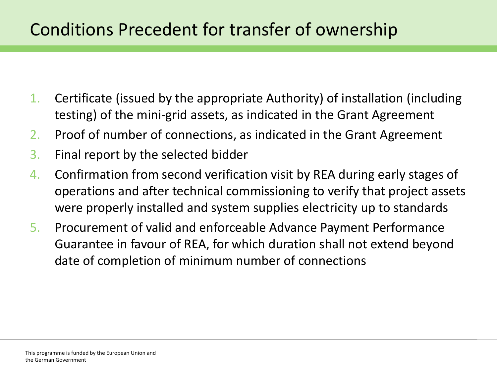### Conditions Precedent for transfer of ownership

- 1. Certificate (issued by the appropriate Authority) of installation (including testing) of the mini-grid assets, as indicated in the Grant Agreement
- 2. Proof of number of connections, as indicated in the Grant Agreement
- 3. Final report by the selected bidder
- 4. Confirmation from second verification visit by REA during early stages of operations and after technical commissioning to verify that project assets were properly installed and system supplies electricity up to standards
- 5. Procurement of valid and enforceable Advance Payment Performance Guarantee in favour of REA, for which duration shall not extend beyond date of completion of minimum number of connections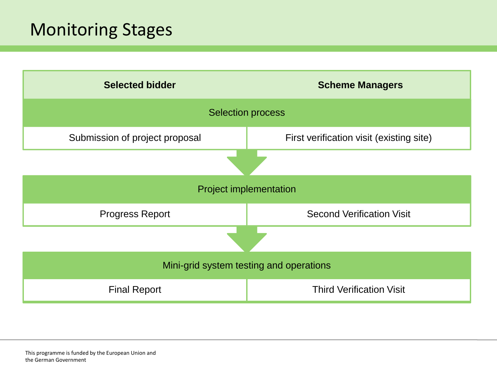### Monitoring Stages

| <b>Selected bidder</b>                  | <b>Scheme Managers</b>                   |  |  |
|-----------------------------------------|------------------------------------------|--|--|
| <b>Selection process</b>                |                                          |  |  |
| Submission of project proposal          | First verification visit (existing site) |  |  |
|                                         |                                          |  |  |
| <b>Project implementation</b>           |                                          |  |  |
| <b>Progress Report</b>                  | <b>Second Verification Visit</b>         |  |  |
|                                         |                                          |  |  |
| Mini-grid system testing and operations |                                          |  |  |
| <b>Final Report</b>                     | <b>Third Verification Visit</b>          |  |  |